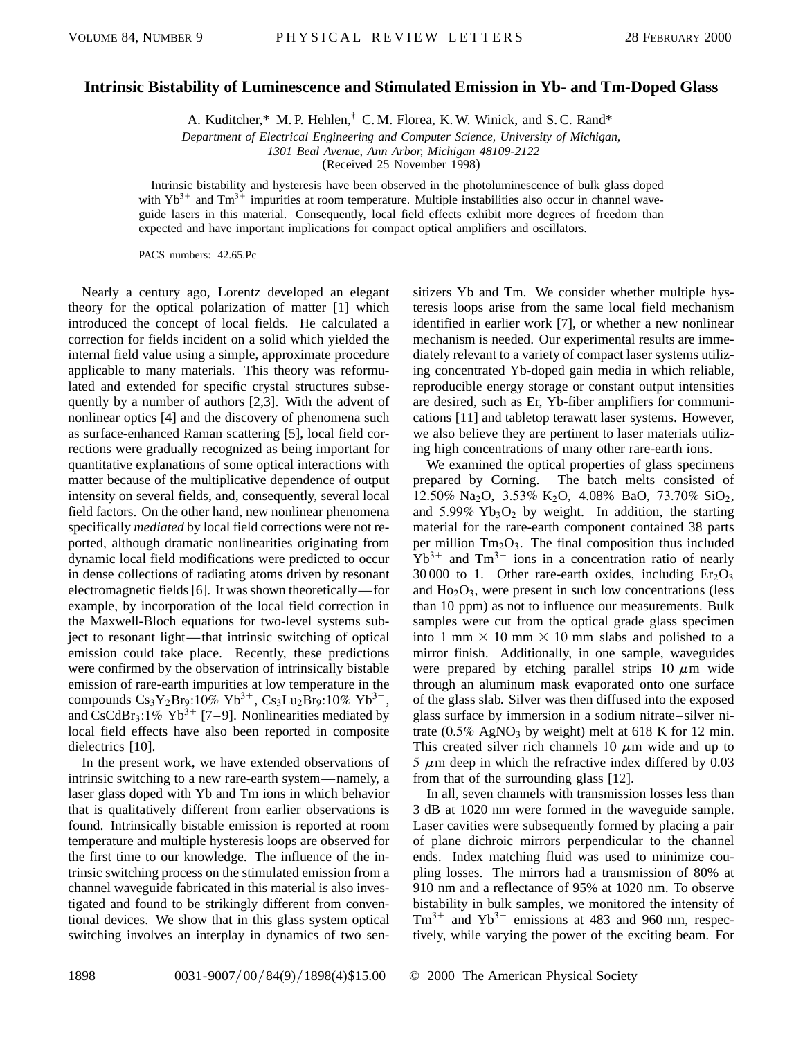## **Intrinsic Bistability of Luminescence and Stimulated Emission in Yb- and Tm-Doped Glass**

A. Kuditcher,\* M. P. Hehlen,† C. M. Florea, K. W. Winick, and S. C. Rand\*

*Department of Electrical Engineering and Computer Science, University of Michigan,*

*1301 Beal Avenue, Ann Arbor, Michigan 48109-2122*

(Received 25 November 1998)

Intrinsic bistability and hysteresis have been observed in the photoluminescence of bulk glass doped with  $Yb<sup>3+</sup>$  and Tm<sup>3+</sup> impurities at room temperature. Multiple instabilities also occur in channel waveguide lasers in this material. Consequently, local field effects exhibit more degrees of freedom than expected and have important implications for compact optical amplifiers and oscillators.

PACS numbers: 42.65.Pc

Nearly a century ago, Lorentz developed an elegant theory for the optical polarization of matter [1] which introduced the concept of local fields. He calculated a correction for fields incident on a solid which yielded the internal field value using a simple, approximate procedure applicable to many materials. This theory was reformulated and extended for specific crystal structures subsequently by a number of authors [2,3]. With the advent of nonlinear optics [4] and the discovery of phenomena such as surface-enhanced Raman scattering [5], local field corrections were gradually recognized as being important for quantitative explanations of some optical interactions with matter because of the multiplicative dependence of output intensity on several fields, and, consequently, several local field factors. On the other hand, new nonlinear phenomena specifically *mediated* by local field corrections were not reported, although dramatic nonlinearities originating from dynamic local field modifications were predicted to occur in dense collections of radiating atoms driven by resonant electromagnetic fields [6]. It was shown theoretically—for example, by incorporation of the local field correction in the Maxwell-Bloch equations for two-level systems subject to resonant light—that intrinsic switching of optical emission could take place. Recently, these predictions were confirmed by the observation of intrinsically bistable emission of rare-earth impurities at low temperature in the compounds  $Cs_3Y_2Br_9:10\% Yb^{3+}$ ,  $Cs_3Lu_2Br_9:10\% Yb^{3+}$ , and CsCdBr<sub>3</sub>:1% Yb<sup>3+</sup> [7–9]. Nonlinearities mediated by local field effects have also been reported in composite dielectrics [10].

In the present work, we have extended observations of intrinsic switching to a new rare-earth system—namely, a laser glass doped with Yb and Tm ions in which behavior that is qualitatively different from earlier observations is found. Intrinsically bistable emission is reported at room temperature and multiple hysteresis loops are observed for the first time to our knowledge. The influence of the intrinsic switching process on the stimulated emission from a channel waveguide fabricated in this material is also investigated and found to be strikingly different from conventional devices. We show that in this glass system optical switching involves an interplay in dynamics of two sensitizers Yb and Tm. We consider whether multiple hysteresis loops arise from the same local field mechanism identified in earlier work [7], or whether a new nonlinear mechanism is needed. Our experimental results are immediately relevant to a variety of compact laser systems utilizing concentrated Yb-doped gain media in which reliable, reproducible energy storage or constant output intensities are desired, such as Er, Yb-fiber amplifiers for communications [11] and tabletop terawatt laser systems. However, we also believe they are pertinent to laser materials utilizing high concentrations of many other rare-earth ions.

We examined the optical properties of glass specimens prepared by Corning. The batch melts consisted of 12.50% Na2O, 3.53% K2O, 4.08% BaO, 73.70% SiO2, and  $5.99\%$  Yb<sub>3</sub>O<sub>2</sub> by weight. In addition, the starting material for the rare-earth component contained 38 parts per million  $Tm_2O_3$ . The final composition thus included  $Yb^{3+}$  and  $Tm^{3+}$  ions in a concentration ratio of nearly 30 000 to 1. Other rare-earth oxides, including  $Er_2O_3$ and  $Ho<sub>2</sub>O<sub>3</sub>$ , were present in such low concentrations (less than 10 ppm) as not to influence our measurements. Bulk samples were cut from the optical grade glass specimen into 1 mm  $\times$  10 mm  $\times$  10 mm slabs and polished to a mirror finish. Additionally, in one sample, waveguides were prepared by etching parallel strips 10  $\mu$ m wide through an aluminum mask evaporated onto one surface of the glass slab. Silver was then diffused into the exposed glass surface by immersion in a sodium nitrate–silver nitrate  $(0.5\% \text{ AgNO}_3 \text{ by weight})$  melt at 618 K for 12 min. This created silver rich channels 10  $\mu$ m wide and up to 5  $\mu$ m deep in which the refractive index differed by 0.03 from that of the surrounding glass [12].

In all, seven channels with transmission losses less than 3 dB at 1020 nm were formed in the waveguide sample. Laser cavities were subsequently formed by placing a pair of plane dichroic mirrors perpendicular to the channel ends. Index matching fluid was used to minimize coupling losses. The mirrors had a transmission of 80% at 910 nm and a reflectance of 95% at 1020 nm. To observe bistability in bulk samples, we monitored the intensity of  $\text{Tm}^{3+}$  and  $\text{Yb}^{3+}$  emissions at 483 and 960 nm, respectively, while varying the power of the exciting beam. For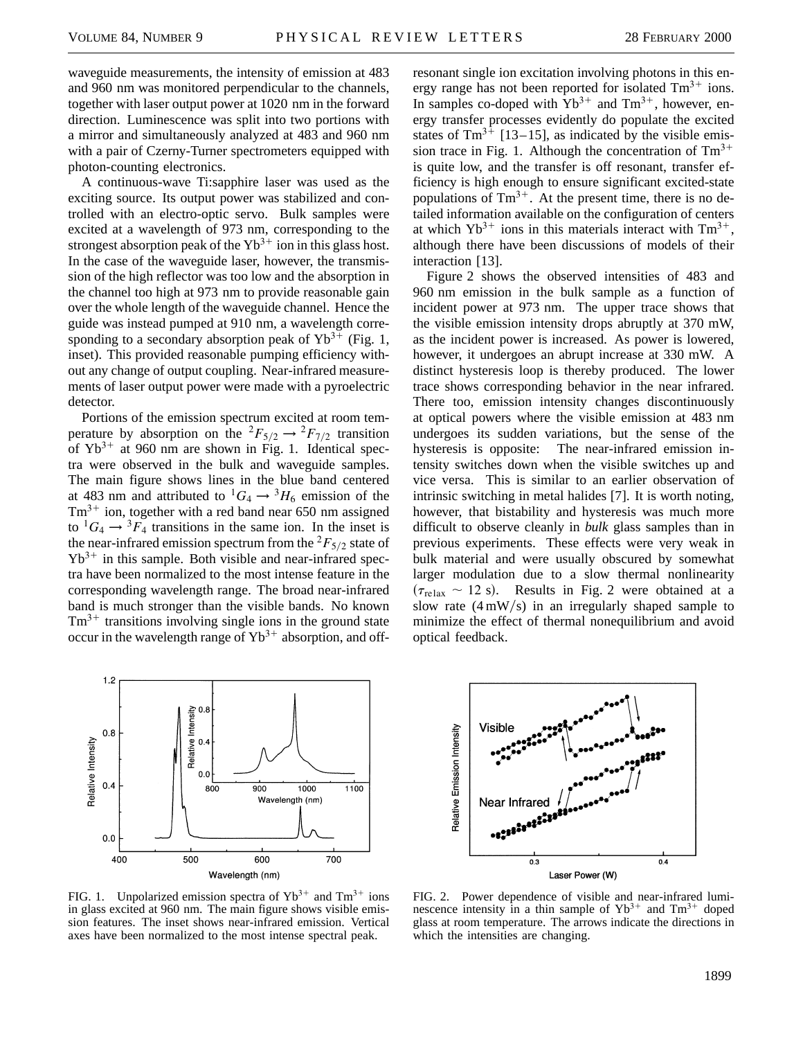waveguide measurements, the intensity of emission at 483 and 960 nm was monitored perpendicular to the channels, together with laser output power at 1020 nm in the forward direction. Luminescence was split into two portions with a mirror and simultaneously analyzed at 483 and 960 nm with a pair of Czerny-Turner spectrometers equipped with photon-counting electronics.

A continuous-wave Ti:sapphire laser was used as the exciting source. Its output power was stabilized and controlled with an electro-optic servo. Bulk samples were excited at a wavelength of 973 nm, corresponding to the strongest absorption peak of the  $Yb^{3+}$  ion in this glass host. In the case of the waveguide laser, however, the transmission of the high reflector was too low and the absorption in the channel too high at 973 nm to provide reasonable gain over the whole length of the waveguide channel. Hence the guide was instead pumped at 910 nm, a wavelength corresponding to a secondary absorption peak of  $Yb^{3+}$  (Fig. 1, inset). This provided reasonable pumping efficiency without any change of output coupling. Near-infrared measurements of laser output power were made with a pyroelectric detector.

Portions of the emission spectrum excited at room temperature by absorption on the  ${}^2F_{5/2} \rightarrow {}^2F_{7/2}$  transition of  $Yb^{3+}$  at 960 nm are shown in Fig. 1. Identical spectra were observed in the bulk and waveguide samples. The main figure shows lines in the blue band centered at 483 nm and attributed to  ${}^1G_4 \rightarrow {}^3H_6$  emission of the  $Tm^{3+}$  ion, together with a red band near 650 nm assigned to  ${}^1G_4 \rightarrow {}^3F_4$  transitions in the same ion. In the inset is the near-infrared emission spectrum from the  ${}^{2}F_{5/2}$  state of  $Yb^{3+}$  in this sample. Both visible and near-infrared spectra have been normalized to the most intense feature in the corresponding wavelength range. The broad near-infrared band is much stronger than the visible bands. No known  $Tm<sup>3+</sup>$  transitions involving single ions in the ground state occur in the wavelength range of  $Yb^{3+}$  absorption, and off-



FIG. 1. Unpolarized emission spectra of  $Yb^{3+}$  and  $Tm^{3+}$  ions in glass excited at 960 nm. The main figure shows visible emission features. The inset shows near-infrared emission. Vertical axes have been normalized to the most intense spectral peak.

resonant single ion excitation involving photons in this energy range has not been reported for isolated  $Tm^{3+}$  ions. In samples co-doped with  $Yb^{3+}$  and  $Tm^{3+}$ , however, energy transfer processes evidently do populate the excited states of  $\text{Tm}^{3+}$  [13–15], as indicated by the visible emission trace in Fig. 1. Although the concentration of  $Tm^{3+}$ is quite low, and the transfer is off resonant, transfer efficiency is high enough to ensure significant excited-state populations of  $Tm^{3+}$ . At the present time, there is no detailed information available on the configuration of centers at which  $Yb^{3+}$  ions in this materials interact with  $Tm^{3+}$ , although there have been discussions of models of their interaction [13].

Figure 2 shows the observed intensities of 483 and 960 nm emission in the bulk sample as a function of incident power at 973 nm. The upper trace shows that the visible emission intensity drops abruptly at 370 mW, as the incident power is increased. As power is lowered, however, it undergoes an abrupt increase at 330 mW. A distinct hysteresis loop is thereby produced. The lower trace shows corresponding behavior in the near infrared. There too, emission intensity changes discontinuously at optical powers where the visible emission at 483 nm undergoes its sudden variations, but the sense of the hysteresis is opposite: The near-infrared emission intensity switches down when the visible switches up and vice versa. This is similar to an earlier observation of intrinsic switching in metal halides [7]. It is worth noting, however, that bistability and hysteresis was much more difficult to observe cleanly in *bulk* glass samples than in previous experiments. These effects were very weak in bulk material and were usually obscured by somewhat larger modulation due to a slow thermal nonlinearity  $(\tau_{\text{relax}} \sim 12 \text{ s})$ . Results in Fig. 2 were obtained at a slow rate  $(4 \text{ mW/s})$  in an irregularly shaped sample to minimize the effect of thermal nonequilibrium and avoid optical feedback.



FIG. 2. Power dependence of visible and near-infrared luminescence intensity in a thin sample of  $Yb^{3+}$  and  $Tm^{3+}$  doped glass at room temperature. The arrows indicate the directions in which the intensities are changing.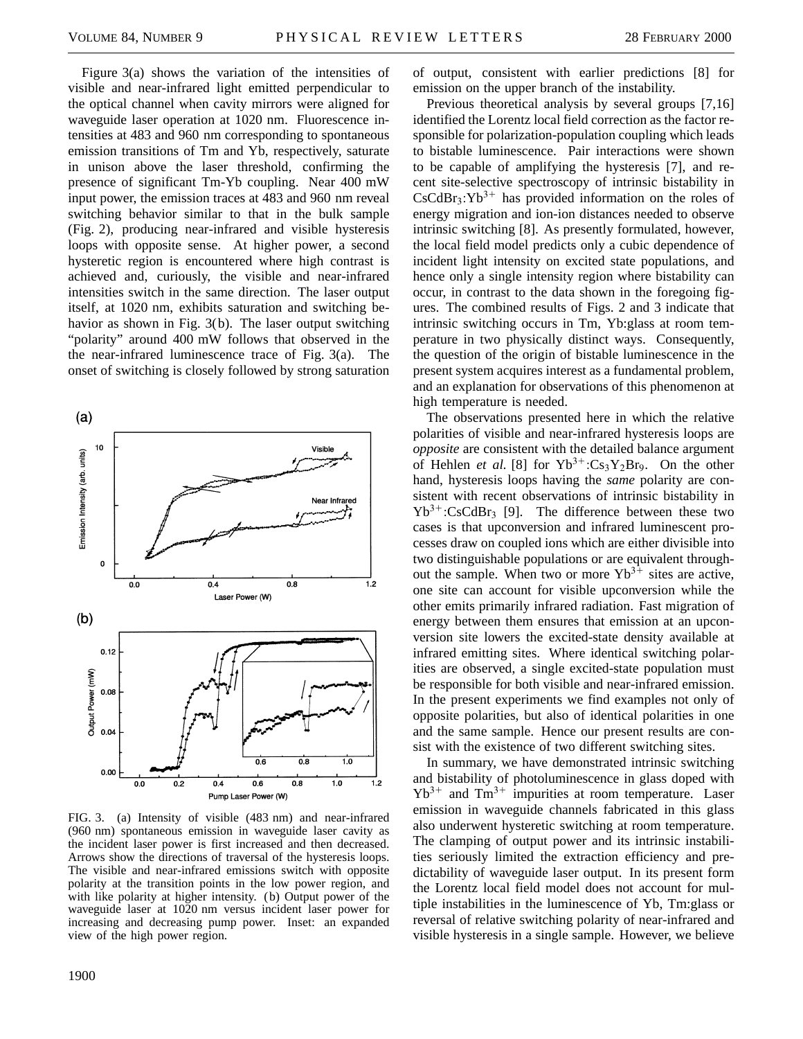Figure 3(a) shows the variation of the intensities of visible and near-infrared light emitted perpendicular to the optical channel when cavity mirrors were aligned for waveguide laser operation at 1020 nm. Fluorescence intensities at 483 and 960 nm corresponding to spontaneous emission transitions of Tm and Yb, respectively, saturate in unison above the laser threshold, confirming the presence of significant Tm-Yb coupling. Near 400 mW input power, the emission traces at 483 and 960 nm reveal switching behavior similar to that in the bulk sample (Fig. 2), producing near-infrared and visible hysteresis loops with opposite sense. At higher power, a second hysteretic region is encountered where high contrast is achieved and, curiously, the visible and near-infrared intensities switch in the same direction. The laser output itself, at 1020 nm, exhibits saturation and switching behavior as shown in Fig. 3(b). The laser output switching "polarity" around 400 mW follows that observed in the the near-infrared luminescence trace of Fig. 3(a). The onset of switching is closely followed by strong saturation



FIG. 3. (a) Intensity of visible (483 nm) and near-infrared (960 nm) spontaneous emission in waveguide laser cavity as the incident laser power is first increased and then decreased. Arrows show the directions of traversal of the hysteresis loops. The visible and near-infrared emissions switch with opposite polarity at the transition points in the low power region, and with like polarity at higher intensity. (b) Output power of the waveguide laser at 1020 nm versus incident laser power for increasing and decreasing pump power. Inset: an expanded view of the high power region.

of output, consistent with earlier predictions [8] for emission on the upper branch of the instability.

Previous theoretical analysis by several groups [7,16] identified the Lorentz local field correction as the factor responsible for polarization-population coupling which leads to bistable luminescence. Pair interactions were shown to be capable of amplifying the hysteresis [7], and recent site-selective spectroscopy of intrinsic bistability in  $CsCdBr_3:Yb^{3+}$  has provided information on the roles of energy migration and ion-ion distances needed to observe intrinsic switching [8]. As presently formulated, however, the local field model predicts only a cubic dependence of incident light intensity on excited state populations, and hence only a single intensity region where bistability can occur, in contrast to the data shown in the foregoing figures. The combined results of Figs. 2 and 3 indicate that intrinsic switching occurs in Tm, Yb:glass at room temperature in two physically distinct ways. Consequently, the question of the origin of bistable luminescence in the present system acquires interest as a fundamental problem, and an explanation for observations of this phenomenon at high temperature is needed.

The observations presented here in which the relative polarities of visible and near-infrared hysteresis loops are *opposite* are consistent with the detailed balance argument of Hehlen *et al.* [8] for  $Yb^{3+}$ :Cs<sub>3</sub>Y<sub>2</sub>Br<sub>9</sub>. On the other hand, hysteresis loops having the *same* polarity are consistent with recent observations of intrinsic bistability in  $Yb^{3+}$ :CsCdBr<sub>3</sub> [9]. The difference between these two cases is that upconversion and infrared luminescent processes draw on coupled ions which are either divisible into two distinguishable populations or are equivalent throughout the sample. When two or more  $Yb^{3+}$  sites are active, one site can account for visible upconversion while the other emits primarily infrared radiation. Fast migration of energy between them ensures that emission at an upconversion site lowers the excited-state density available at infrared emitting sites. Where identical switching polarities are observed, a single excited-state population must be responsible for both visible and near-infrared emission. In the present experiments we find examples not only of opposite polarities, but also of identical polarities in one and the same sample. Hence our present results are consist with the existence of two different switching sites.

In summary, we have demonstrated intrinsic switching and bistability of photoluminescence in glass doped with  $Yb^{3+}$  and  $Tm^{3+}$  impurities at room temperature. Laser emission in waveguide channels fabricated in this glass also underwent hysteretic switching at room temperature. The clamping of output power and its intrinsic instabilities seriously limited the extraction efficiency and predictability of waveguide laser output. In its present form the Lorentz local field model does not account for multiple instabilities in the luminescence of Yb, Tm:glass or reversal of relative switching polarity of near-infrared and visible hysteresis in a single sample. However, we believe